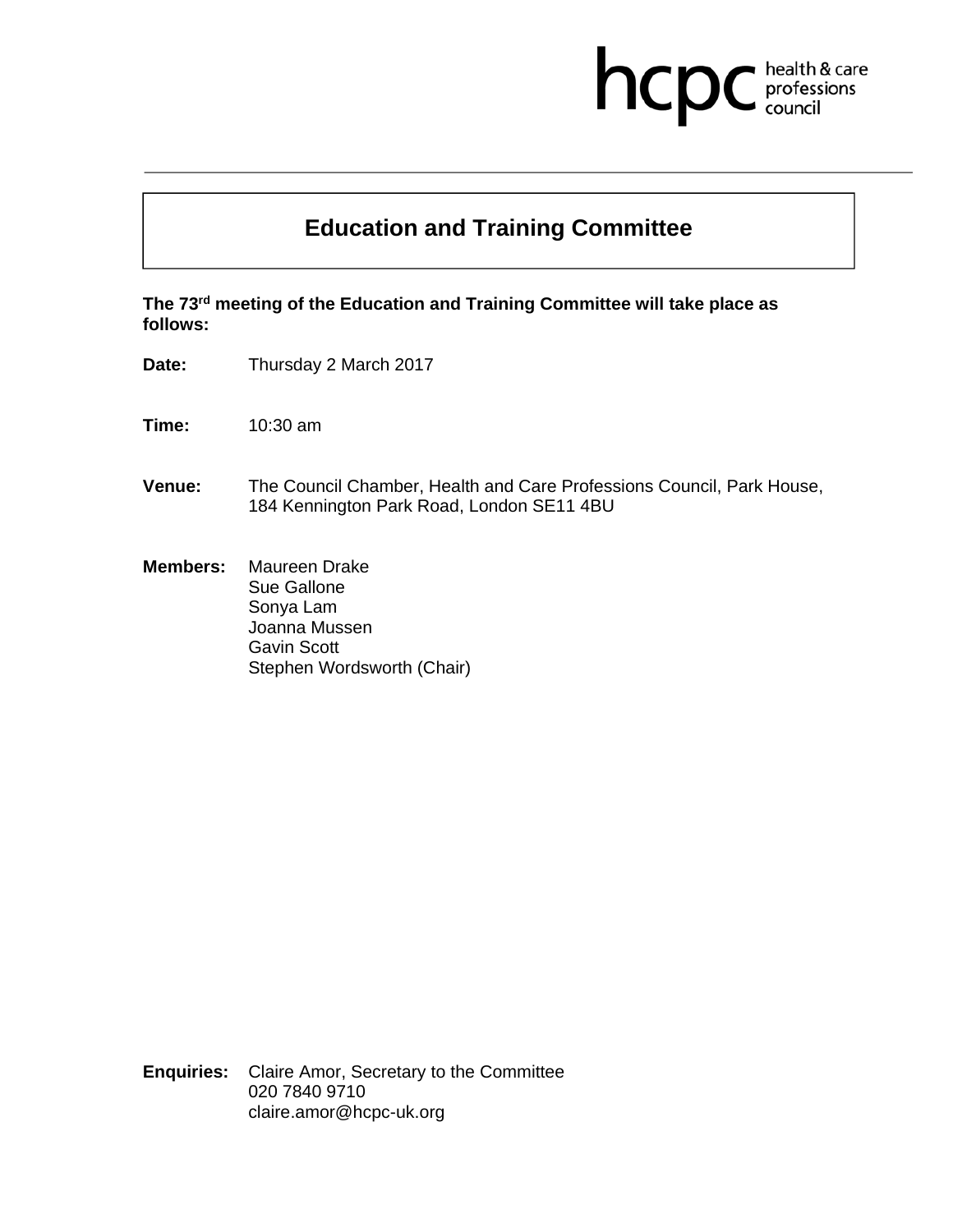## health & care<br>professions<br>council hcp

## **Education and Training Committee**

**The 73rd meeting of the Education and Training Committee will take place as follows:** 

**Date:** Thursday 2 March 2017

**Time:** 10:30 am

- **Venue:** The Council Chamber, Health and Care Professions Council, Park House, 184 Kennington Park Road, London SE11 4BU
- **Members:** Maureen Drake Sue Gallone Sonya Lam Joanna Mussen Gavin Scott Stephen Wordsworth (Chair)

**Enquiries:** Claire Amor, Secretary to the Committee 020 7840 9710 claire.amor@hcpc-uk.org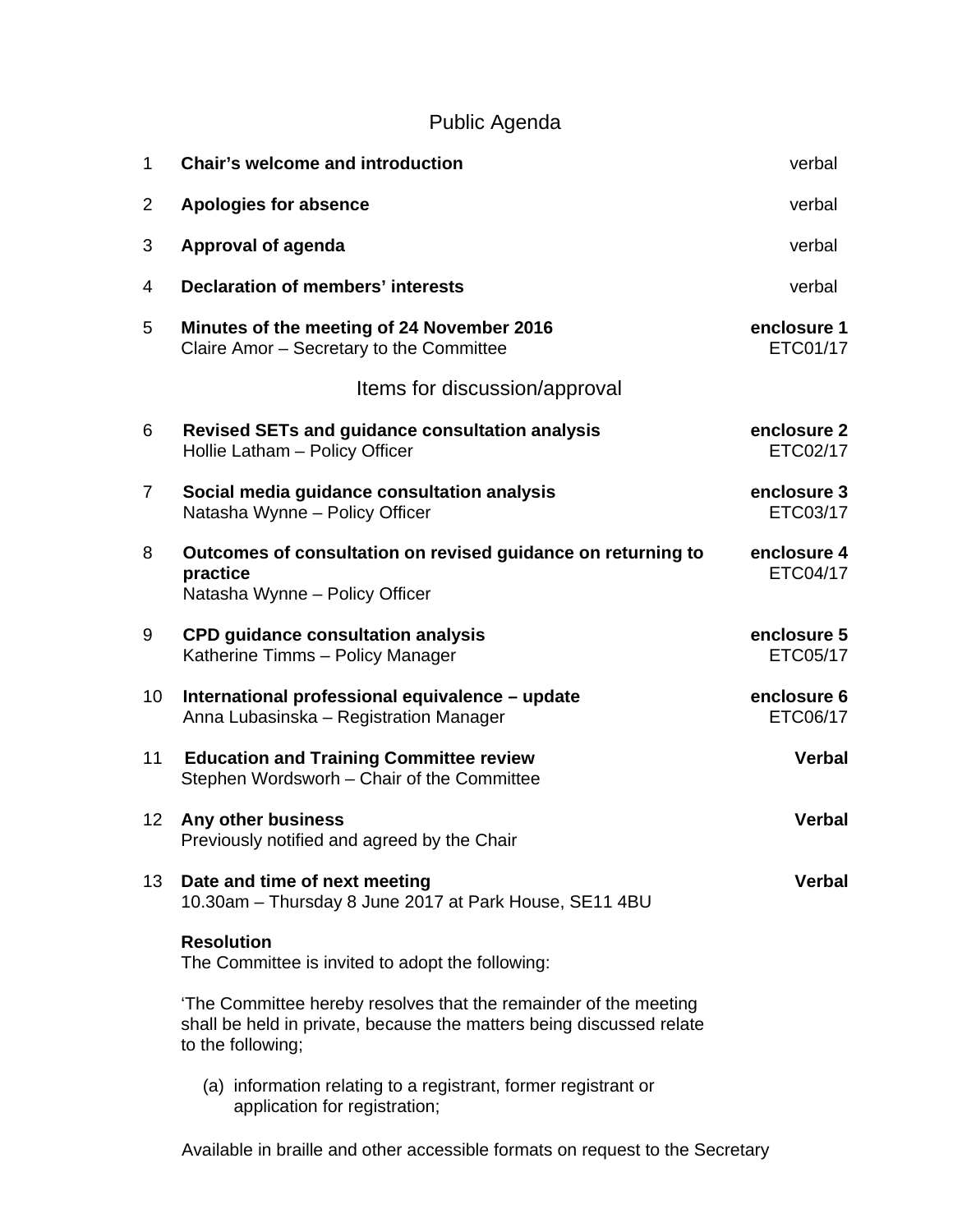## Public Agenda

| 1              | <b>Chair's welcome and introduction</b>                                                                                                                       | verbal                  |
|----------------|---------------------------------------------------------------------------------------------------------------------------------------------------------------|-------------------------|
| $\overline{2}$ | <b>Apologies for absence</b>                                                                                                                                  | verbal                  |
| 3              | Approval of agenda                                                                                                                                            | verbal                  |
| 4              | <b>Declaration of members' interests</b>                                                                                                                      | verbal                  |
| 5              | Minutes of the meeting of 24 November 2016<br>Claire Amor - Secretary to the Committee                                                                        | enclosure 1<br>ETC01/17 |
|                | Items for discussion/approval                                                                                                                                 |                         |
| 6              | <b>Revised SETs and guidance consultation analysis</b><br>Hollie Latham - Policy Officer                                                                      | enclosure 2<br>ETC02/17 |
| $\overline{7}$ | Social media guidance consultation analysis<br>Natasha Wynne - Policy Officer                                                                                 | enclosure 3<br>ETC03/17 |
| 8              | Outcomes of consultation on revised guidance on returning to<br>practice<br>Natasha Wynne - Policy Officer                                                    | enclosure 4<br>ETC04/17 |
| 9              | <b>CPD guidance consultation analysis</b><br>Katherine Timms - Policy Manager                                                                                 | enclosure 5<br>ETC05/17 |
| 10             | International professional equivalence - update<br>Anna Lubasinska - Registration Manager                                                                     | enclosure 6<br>ETC06/17 |
| 11             | <b>Education and Training Committee review</b><br>Stephen Wordsworh - Chair of the Committee                                                                  | Verbal                  |
| 12             | Any other business<br>Previously notified and agreed by the Chair                                                                                             | <b>Verbal</b>           |
| 13             | Date and time of next meeting<br>10.30am - Thursday 8 June 2017 at Park House, SE11 4BU                                                                       | Verbal                  |
|                | <b>Resolution</b><br>The Committee is invited to adopt the following:                                                                                         |                         |
|                | 'The Committee hereby resolves that the remainder of the meeting<br>shall be held in private, because the matters being discussed relate<br>to the following; |                         |
|                | (a) information relating to a registrant, former registrant or<br>application for registration;                                                               |                         |

Available in braille and other accessible formats on request to the Secretary